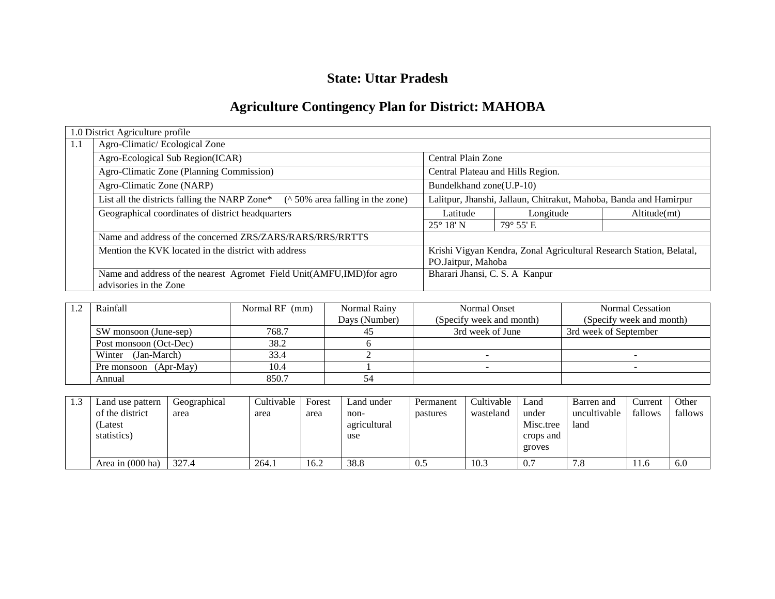# **State: Uttar Pradesh**

# **Agriculture Contingency Plan for District: MAHOBA**

|     | 1.0 District Agriculture profile                                                          |                                                                   |                                                                     |              |  |  |  |  |  |
|-----|-------------------------------------------------------------------------------------------|-------------------------------------------------------------------|---------------------------------------------------------------------|--------------|--|--|--|--|--|
| 1.1 | Agro-Climatic/Ecological Zone                                                             |                                                                   |                                                                     |              |  |  |  |  |  |
|     | Agro-Ecological Sub Region(ICAR)                                                          | Central Plain Zone                                                |                                                                     |              |  |  |  |  |  |
|     | Agro-Climatic Zone (Planning Commission)                                                  |                                                                   | Central Plateau and Hills Region.                                   |              |  |  |  |  |  |
|     | Agro-Climatic Zone (NARP)                                                                 | Bundelkhand zone(U.P-10)                                          |                                                                     |              |  |  |  |  |  |
|     | List all the districts falling the NARP Zone*<br>$(\wedge 50\%$ area falling in the zone) | Lalitpur, Jhanshi, Jallaun, Chitrakut, Mahoba, Banda and Hamirpur |                                                                     |              |  |  |  |  |  |
|     | Geographical coordinates of district headquarters                                         | Latitude                                                          | Longitude                                                           | Altitude(mt) |  |  |  |  |  |
|     |                                                                                           | $25^{\circ}$ 18' N                                                | $79^{\circ} 55' E$                                                  |              |  |  |  |  |  |
|     | Name and address of the concerned ZRS/ZARS/RARS/RRS/RRTTS                                 |                                                                   |                                                                     |              |  |  |  |  |  |
|     | Mention the KVK located in the district with address                                      |                                                                   | Krishi Vigyan Kendra, Zonal Agricultural Research Station, Belatal, |              |  |  |  |  |  |
|     |                                                                                           | PO.Jaitpur, Mahoba                                                |                                                                     |              |  |  |  |  |  |
|     | Name and address of the nearest Agromet Field Unit(AMFU,IMD)for agro                      | Bharari Jhansi, C. S. A Kanpur                                    |                                                                     |              |  |  |  |  |  |
|     | advisories in the Zone                                                                    |                                                                   |                                                                     |              |  |  |  |  |  |

| Rainfall               | Normal RF (mm) | Normal Rainy  | Normal Onset             | Normal Cessation         |
|------------------------|----------------|---------------|--------------------------|--------------------------|
|                        |                | Days (Number) | (Specify week and month) | (Specify week and month) |
| SW monsoon (June-sep)  | 768.7          |               | 3rd week of June         | 3rd week of September    |
| Post monsoon (Oct-Dec) | 38.2           |               |                          |                          |
| (Jan-March)<br>Winter  | 33.4           |               |                          |                          |
| Pre monsoon (Apr-May)  | 10.4           |               |                          |                          |
| Annual                 | 850.7          |               |                          |                          |

| Land use pattern | Geographical | Cultivable | Forest | Land under   | Permanent | Cultivable | Land      | Barren and   | Current | Other   |
|------------------|--------------|------------|--------|--------------|-----------|------------|-----------|--------------|---------|---------|
| of the district  | area         | area       | area   | non-         | pastures  | wasteland  | under     | uncultivable | fallows | fallows |
| (Latest          |              |            |        | agricultural |           |            | Misc.tree | land         |         |         |
| statistics)      |              |            |        | use          |           |            | crops and |              |         |         |
|                  |              |            |        |              |           |            | groves    |              |         |         |
| Area in (000 ha) | 327.4        | 264.1      | 16.2   | 38.8         | 0.5       | 10.3       | 0.7       | 7.0          | 11.6    | 6.0     |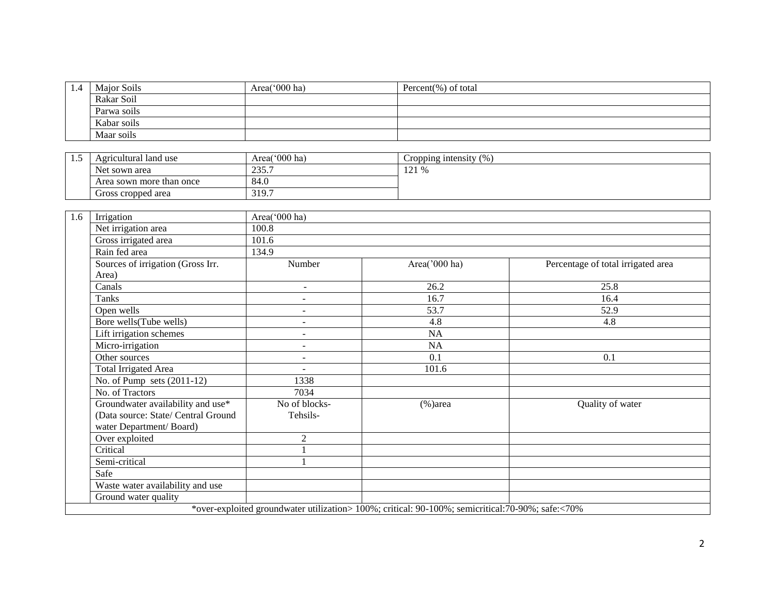| 1.4 | Major Soils | Area(' $000$ ha) | Percent $(\%)$ of total |
|-----|-------------|------------------|-------------------------|
|     | Rakar Soil  |                  |                         |
|     | Parwa soils |                  |                         |
|     | Kabar soils |                  |                         |
|     | Maar soils  |                  |                         |

| ن | Agricultural land use    | Area('000 ha)     | Cropping intensity (%) |
|---|--------------------------|-------------------|------------------------|
|   | Net sown area            | 225.7<br>، بەر يە | 101 $0/$<br>$121\%$    |
|   | Area sown more than once | 84.0              |                        |
|   | Gross cropped area       | 319.7             |                        |

| 1.6 | Irrigation                          | Area('000 ha)            |                                                                                                   |                                    |  |  |  |  |  |
|-----|-------------------------------------|--------------------------|---------------------------------------------------------------------------------------------------|------------------------------------|--|--|--|--|--|
|     | Net irrigation area                 | 100.8                    |                                                                                                   |                                    |  |  |  |  |  |
|     | Gross irrigated area                | 101.6                    |                                                                                                   |                                    |  |  |  |  |  |
|     | Rain fed area                       | 134.9                    |                                                                                                   |                                    |  |  |  |  |  |
|     | Sources of irrigation (Gross Irr.   | Number                   | Area('000 ha)                                                                                     | Percentage of total irrigated area |  |  |  |  |  |
|     | Area)                               |                          |                                                                                                   |                                    |  |  |  |  |  |
|     | Canals                              | $\overline{\phantom{a}}$ | 26.2                                                                                              | 25.8                               |  |  |  |  |  |
|     | Tanks                               | $\overline{\phantom{a}}$ | 16.7                                                                                              | 16.4                               |  |  |  |  |  |
|     | Open wells                          | $\overline{\phantom{a}}$ | 53.7                                                                                              | 52.9                               |  |  |  |  |  |
|     | Bore wells(Tube wells)              | $\sim$                   | 4.8                                                                                               | 4.8                                |  |  |  |  |  |
|     | Lift irrigation schemes             | $\overline{\phantom{a}}$ | NA                                                                                                |                                    |  |  |  |  |  |
|     | Micro-irrigation                    | $\sim$                   | NA                                                                                                |                                    |  |  |  |  |  |
|     | Other sources                       | $\sim$                   | 0.1                                                                                               | 0.1                                |  |  |  |  |  |
|     | <b>Total Irrigated Area</b>         |                          | 101.6                                                                                             |                                    |  |  |  |  |  |
|     | No. of Pump sets $(2011-12)$        | 1338                     |                                                                                                   |                                    |  |  |  |  |  |
|     | No. of Tractors                     | 7034                     |                                                                                                   |                                    |  |  |  |  |  |
|     | Groundwater availability and use*   | No of blocks-            | $%$ )area                                                                                         | Quality of water                   |  |  |  |  |  |
|     | (Data source: State/ Central Ground | Tehsils-                 |                                                                                                   |                                    |  |  |  |  |  |
|     | water Department/Board)             |                          |                                                                                                   |                                    |  |  |  |  |  |
|     | Over exploited                      | $\overline{2}$           |                                                                                                   |                                    |  |  |  |  |  |
|     | Critical                            |                          |                                                                                                   |                                    |  |  |  |  |  |
|     | Semi-critical                       |                          |                                                                                                   |                                    |  |  |  |  |  |
|     | Safe                                |                          |                                                                                                   |                                    |  |  |  |  |  |
|     | Waste water availability and use    |                          |                                                                                                   |                                    |  |  |  |  |  |
|     | Ground water quality                |                          |                                                                                                   |                                    |  |  |  |  |  |
|     |                                     |                          | *over-exploited groundwater utilization> 100%; critical: 90-100%; semicritical: 70-90%; safe:<70% |                                    |  |  |  |  |  |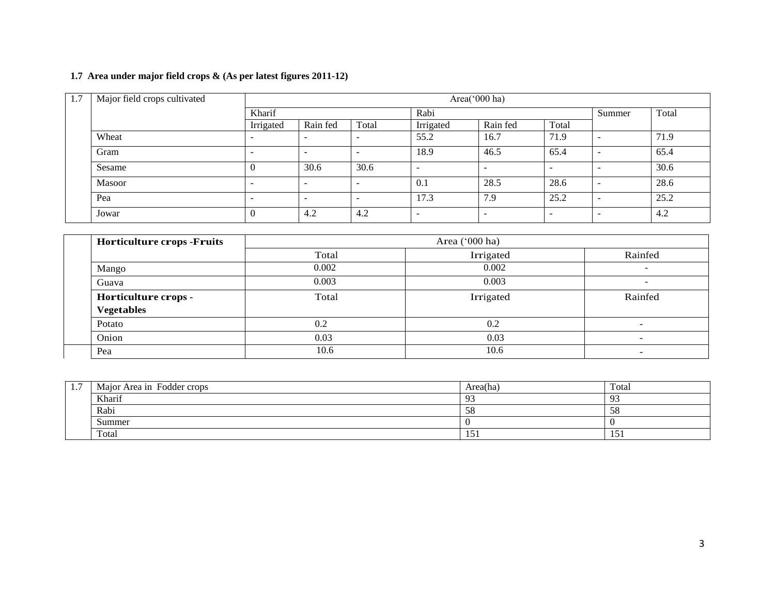# **1.7 Area under major field crops & (As per latest figures 2011-12)**

| 1.7 | Major field crops cultivated | Area('000 ha)            |                          |       |           |                          |                          |                          |      |  |
|-----|------------------------------|--------------------------|--------------------------|-------|-----------|--------------------------|--------------------------|--------------------------|------|--|
|     |                              | Kharif                   |                          |       | Rabi      |                          | Summer                   | Total                    |      |  |
|     |                              | Irrigated                | Rain fed                 | Total | Irrigated | Rain fed                 | Total                    |                          |      |  |
|     | Wheat                        | -                        | $\overline{\phantom{0}}$ |       | 55.2      | 16.7                     | 71.9                     |                          | 71.9 |  |
|     | Gram                         | $\overline{\phantom{a}}$ | $\overline{\phantom{a}}$ | -     | 18.9      | 46.5                     | 65.4                     | $\overline{\phantom{a}}$ | 65.4 |  |
|     | Sesame                       |                          | 30.6                     | 30.6  | -         | -                        | $\overline{\phantom{0}}$ | -                        | 30.6 |  |
|     | Masoor                       | -                        | -                        |       | 0.1       | 28.5                     | 28.6                     | -                        | 28.6 |  |
|     | Pea                          | $\overline{\phantom{a}}$ | -                        |       | 17.3      | 7.9                      | 25.2                     | -                        | 25.2 |  |
|     | Jowar                        |                          | 4.2                      | 4.2   |           | $\overline{\phantom{0}}$ | $\overline{\phantom{0}}$ | -                        | 4.2  |  |

| <b>Horticulture crops -Fruits</b> | Area ('000 ha) |           |                          |  |  |  |  |
|-----------------------------------|----------------|-----------|--------------------------|--|--|--|--|
|                                   | Total          | Irrigated | Rainfed                  |  |  |  |  |
| Mango                             | 0.002          | 0.002     | $\overline{\phantom{a}}$ |  |  |  |  |
| Guava                             | 0.003          | 0.003     |                          |  |  |  |  |
| Horticulture crops -              | Total          | Irrigated | Rainfed                  |  |  |  |  |
| <b>Vegetables</b>                 |                |           |                          |  |  |  |  |
| Potato                            | 0.2            | 0.2       |                          |  |  |  |  |
| Onion                             | 0.03           | 0.03      |                          |  |  |  |  |
| Pea                               | 10.6           | 10.6      |                          |  |  |  |  |

| $\pm$ . | Major Area in Fodder crops | Area(ha) | Total       |
|---------|----------------------------|----------|-------------|
|         | Kharif                     |          | $\sim$<br>້ |
|         | Rabi                       | - 28     | 58          |
|         | Summer                     |          |             |
|         | Total                      | 121      | 151         |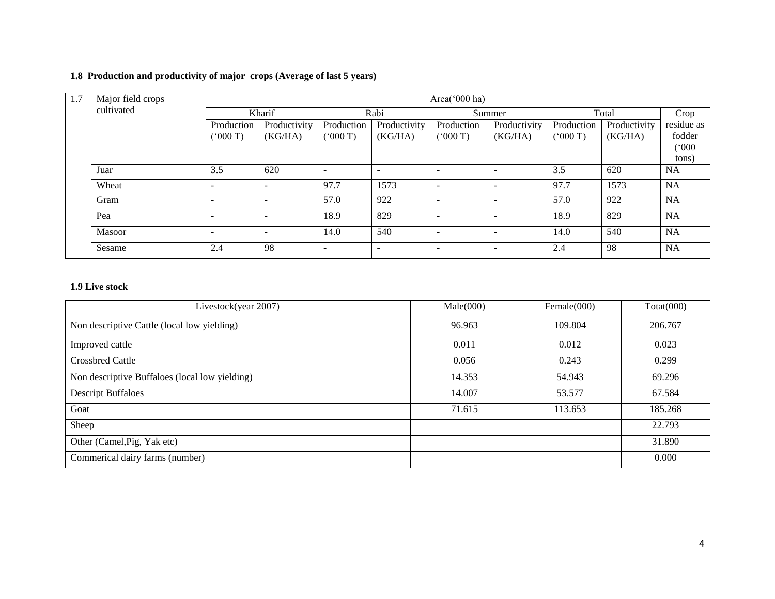# **1.8 Production and productivity of major crops (Average of last 5 years)**

| 1.7 | Major field crops | Area('000 ha)            |                          |                          |                          |                          |                          |            |              |            |
|-----|-------------------|--------------------------|--------------------------|--------------------------|--------------------------|--------------------------|--------------------------|------------|--------------|------------|
|     | cultivated        |                          | Kharif                   |                          | Rabi                     |                          | Summer                   |            | Total        |            |
|     |                   | Production               | Productivity             | Production               | Productivity             | Production               | Productivity             | Production | Productivity | residue as |
|     |                   | (000 T)                  | (KG/HA)                  | (5000T)                  | (KG/HA)                  | (000 T)                  | (KG/HA)                  | (000T)     | (KG/HA)      | fodder     |
|     |                   |                          |                          |                          |                          |                          |                          |            |              | (000)      |
|     |                   |                          |                          |                          |                          |                          |                          |            |              | tons)      |
|     | Juar              | 3.5                      | 620                      | $\overline{\phantom{a}}$ | $\overline{\phantom{0}}$ | $\overline{\phantom{a}}$ |                          | 3.5        | 620          | <b>NA</b>  |
|     | Wheat             | $\overline{\phantom{0}}$ | $\overline{\phantom{a}}$ | 97.7                     | 1573                     | $\overline{\phantom{a}}$ | $\overline{\phantom{0}}$ | 97.7       | 1573         | <b>NA</b>  |
|     | Gram              |                          | $\overline{\phantom{0}}$ | 57.0                     | 922                      | $\overline{\phantom{a}}$ |                          | 57.0       | 922          | <b>NA</b>  |
|     | Pea               | $\overline{\phantom{a}}$ | $\overline{\phantom{a}}$ | 18.9                     | 829                      | $\overline{\phantom{a}}$ |                          | 18.9       | 829          | <b>NA</b>  |
|     | Masoor            | $\overline{\phantom{a}}$ | $\overline{\phantom{a}}$ | 14.0                     | 540                      | $\overline{\phantom{a}}$ |                          | 14.0       | 540          | <b>NA</b>  |
|     | Sesame            | 2.4                      | 98                       | $\overline{\phantom{a}}$ | $\overline{\phantom{0}}$ | $\overline{\phantom{a}}$ |                          | 2.4        | 98           | <b>NA</b>  |

#### **1.9 Live stock**

| Livestock(year 2007)                           | Male(000) | Female $(000)$ | Totat(000) |
|------------------------------------------------|-----------|----------------|------------|
| Non descriptive Cattle (local low yielding)    | 96.963    | 109.804        | 206.767    |
| Improved cattle                                | 0.011     | 0.012          | 0.023      |
| <b>Crossbred Cattle</b>                        | 0.056     | 0.243          | 0.299      |
| Non descriptive Buffaloes (local low yielding) | 14.353    | 54.943         | 69.296     |
| <b>Descript Buffaloes</b>                      | 14.007    | 53.577         | 67.584     |
| Goat                                           | 71.615    | 113.653        | 185.268    |
| Sheep                                          |           |                | 22.793     |
| Other (Camel, Pig, Yak etc)                    |           |                | 31.890     |
| Commerical dairy farms (number)                |           |                | 0.000      |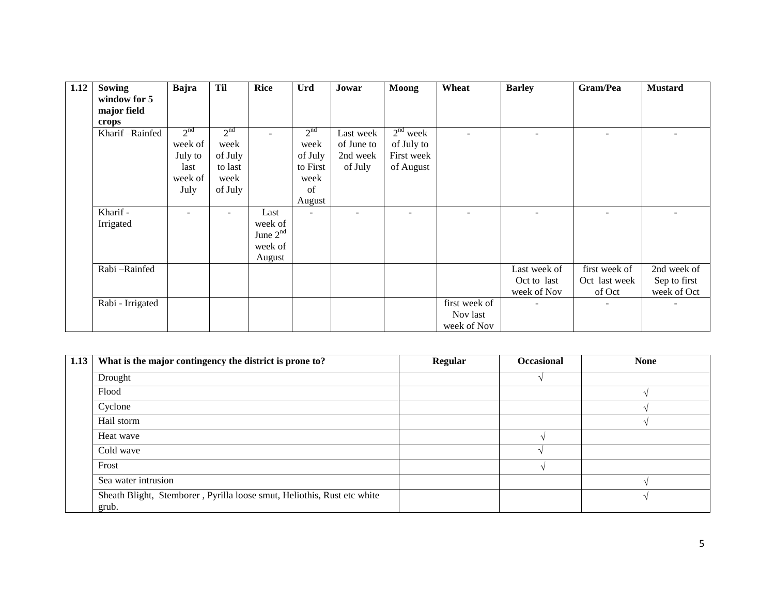| 1.12 | Sowing           | Bajra           | <b>Til</b>      | <b>Rice</b> | Urd                      | Jowar      | <b>Moong</b> | Wheat         | <b>Barley</b> | Gram/Pea      | <b>Mustard</b> |
|------|------------------|-----------------|-----------------|-------------|--------------------------|------------|--------------|---------------|---------------|---------------|----------------|
|      | window for 5     |                 |                 |             |                          |            |              |               |               |               |                |
|      | major field      |                 |                 |             |                          |            |              |               |               |               |                |
|      | crops            |                 |                 |             |                          |            |              |               |               |               |                |
|      | Kharif-Rainfed   | 2 <sup>nd</sup> | 2 <sup>nd</sup> |             | 2 <sup>nd</sup>          | Last week  | $2nd$ week   |               |               |               |                |
|      |                  | week of         | week            |             | week                     | of June to | of July to   |               |               |               |                |
|      |                  | July to         | of July         |             | of July                  | 2nd week   | First week   |               |               |               |                |
|      |                  | last            | to last         |             | to First                 | of July    | of August    |               |               |               |                |
|      |                  | week of         | week            |             | week                     |            |              |               |               |               |                |
|      |                  | July            | of July         |             | of                       |            |              |               |               |               |                |
|      |                  |                 |                 |             | August                   |            |              |               |               |               |                |
|      | Kharif -         |                 |                 | Last        | $\overline{\phantom{a}}$ |            |              |               |               |               |                |
|      | Irrigated        |                 |                 | week of     |                          |            |              |               |               |               |                |
|      |                  |                 |                 | June $2nd$  |                          |            |              |               |               |               |                |
|      |                  |                 |                 | week of     |                          |            |              |               |               |               |                |
|      |                  |                 |                 | August      |                          |            |              |               |               |               |                |
|      | Rabi-Rainfed     |                 |                 |             |                          |            |              |               | Last week of  | first week of | 2nd week of    |
|      |                  |                 |                 |             |                          |            |              |               | Oct to last   | Oct last week | Sep to first   |
|      |                  |                 |                 |             |                          |            |              |               | week of Nov   | of Oct        | week of Oct    |
|      | Rabi - Irrigated |                 |                 |             |                          |            |              | first week of |               |               |                |
|      |                  |                 |                 |             |                          |            |              | Nov last      |               |               |                |
|      |                  |                 |                 |             |                          |            |              | week of Nov   |               |               |                |

| 1.13 | What is the major contingency the district is prone to?                          | Regular | <b>Occasional</b> | <b>None</b> |
|------|----------------------------------------------------------------------------------|---------|-------------------|-------------|
|      | Drought                                                                          |         |                   |             |
|      | Flood                                                                            |         |                   |             |
|      | Cyclone                                                                          |         |                   |             |
|      | Hail storm                                                                       |         |                   |             |
|      | Heat wave                                                                        |         |                   |             |
|      | Cold wave                                                                        |         |                   |             |
|      | Frost                                                                            |         |                   |             |
|      | Sea water intrusion                                                              |         |                   |             |
|      | Sheath Blight, Stemborer, Pyrilla loose smut, Heliothis, Rust etc white<br>grub. |         |                   |             |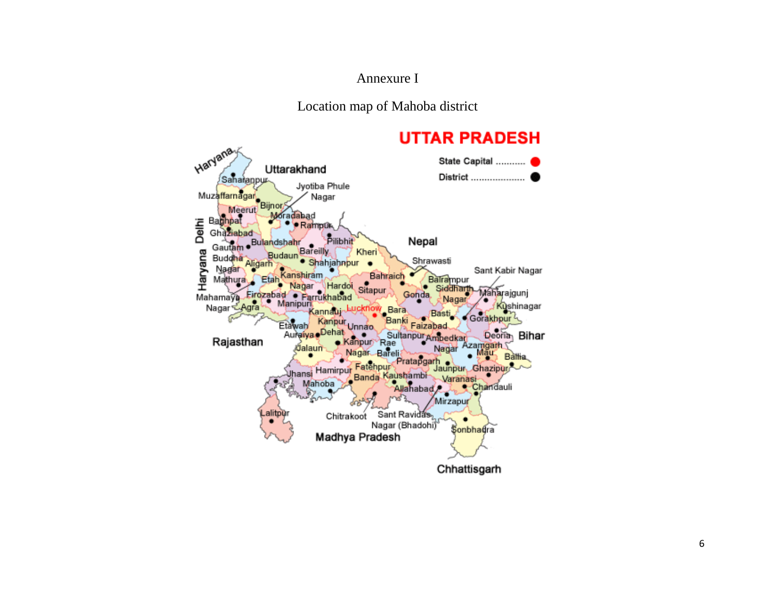# Annexure I

Location map of Mahoba district

# **UTTAR PRADESH**

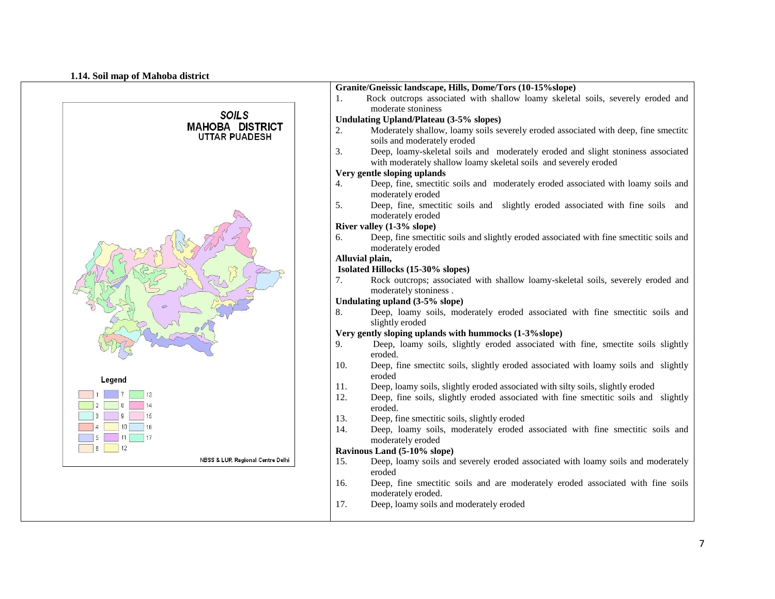#### **1.14. Soil map of Mahoba district**



| 1.  | Rock outcrops associated with shallow loamy skeletal soils, severely eroded and                                                                      |
|-----|------------------------------------------------------------------------------------------------------------------------------------------------------|
|     | moderate stoniness                                                                                                                                   |
|     | <b>Undulating Upland/Plateau (3-5% slopes)</b>                                                                                                       |
| 2.  | Moderately shallow, loamy soils severely eroded associated with deep, fine smectitc                                                                  |
|     | soils and moderately eroded                                                                                                                          |
| 3.  | Deep, loamy-skeletal soils and moderately eroded and slight stoniness associated<br>with moderately shallow loamy skeletal soils and severely eroded |
|     | Very gentle sloping uplands                                                                                                                          |
| 4.  | Deep, fine, smectitic soils and moderately eroded associated with loamy soils and<br>moderately eroded                                               |
| 5.  | Deep, fine, smectitic soils and slightly eroded associated with fine soils<br>moderately eroded                                                      |
|     | River valley (1-3% slope)                                                                                                                            |
| 6.  | Deep, fine smectitic soils and slightly eroded associated with fine smectitic soils and<br>moderately eroded                                         |
|     | Alluvial plain,                                                                                                                                      |
|     | Isolated Hillocks (15-30% slopes)                                                                                                                    |
| 7.  | Rock outcrops; associated with shallow loamy-skeletal soils, severely eroded and                                                                     |
|     | moderately stoniness.                                                                                                                                |
|     | Undulating upland (3-5% slope)                                                                                                                       |
| 8.  | Deep, loamy soils, moderately eroded associated with fine smectitic soils and<br>slightly eroded                                                     |
|     | Very gently sloping uplands with hummocks (1-3% slope)                                                                                               |
| 9.  | Deep, loamy soils, slightly eroded associated with fine, smectite soils slightly<br>eroded.                                                          |
| 10. | Deep, fine smectitc soils, slightly eroded associated with loamy soils and slightly<br>eroded                                                        |
| 11. | Deep, loamy soils, slightly eroded associated with silty soils, slightly eroded                                                                      |
| 12. | Deep, fine soils, slightly eroded associated with fine smectitic soils and slightly<br>eroded.                                                       |
| 13. | Deep, fine smectitic soils, slightly eroded                                                                                                          |
| 14. | Deep, loamy soils, moderately eroded associated with fine smectitic soils and<br>moderately eroded                                                   |
|     | Ravinous Land (5-10% slope)                                                                                                                          |
| 15. | Deep, loamy soils and severely eroded associated with loamy soils and moderately<br>eroded                                                           |
| 16. | Deep, fine smectitic soils and are moderately eroded associated with fine soils<br>moderately eroded.                                                |
| 17. | Deep, loamy soils and moderately eroded                                                                                                              |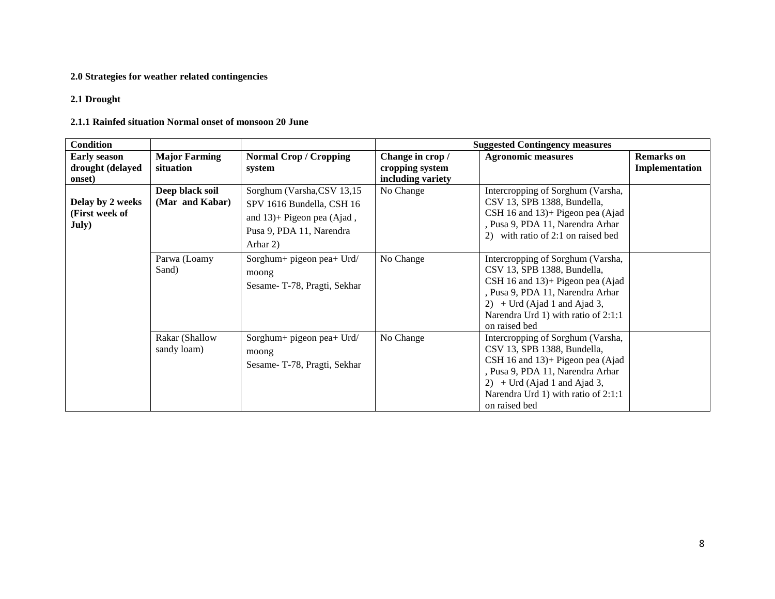#### **2.0 Strategies for weather related contingencies**

#### **2.1 Drought**

#### **2.1.1 Rainfed situation Normal onset of monsoon 20 June**

| <b>Condition</b>                                    |                                    |                                                                                                                                  |                                                          | <b>Suggested Contingency measures</b>                                                                                                                                                                                            |                                     |
|-----------------------------------------------------|------------------------------------|----------------------------------------------------------------------------------------------------------------------------------|----------------------------------------------------------|----------------------------------------------------------------------------------------------------------------------------------------------------------------------------------------------------------------------------------|-------------------------------------|
| <b>Early season</b><br>drought (delayed<br>onset)   | <b>Major Farming</b><br>situation  | <b>Normal Crop / Cropping</b><br>system                                                                                          | Change in crop /<br>cropping system<br>including variety | <b>Agronomic measures</b>                                                                                                                                                                                                        | <b>Remarks</b> on<br>Implementation |
| Delay by 2 weeks<br>(First week of<br><b>July</b> ) | Deep black soil<br>(Mar and Kabar) | Sorghum (Varsha, CSV 13,15<br>SPV 1616 Bundella, CSH 16<br>and $13$ )+ Pigeon pea (Ajad,<br>Pusa 9, PDA 11, Narendra<br>Arhar 2) | No Change                                                | Intercropping of Sorghum (Varsha,<br>CSV 13, SPB 1388, Bundella,<br>CSH 16 and $13$ )+ Pigeon pea (Ajad<br>, Pusa 9, PDA 11, Narendra Arhar<br>2) with ratio of 2:1 on raised bed                                                |                                     |
|                                                     | Parwa (Loamy<br>Sand)              | Sorghum + pigeon pea + $Urd/$<br>moong<br>Sesame-T-78, Pragti, Sekhar                                                            | No Change                                                | Intercropping of Sorghum (Varsha,<br>CSV 13, SPB 1388, Bundella,<br>CSH 16 and 13)+ Pigeon pea (Ajad<br>, Pusa 9, PDA 11, Narendra Arhar<br>2) + Urd (Ajad 1 and Ajad 3,<br>Narendra Urd 1) with ratio of 2:1:1<br>on raised bed |                                     |
|                                                     | Rakar (Shallow<br>sandy loam)      | Sorghum+ pigeon pea+ Urd/<br>moong<br>Sesame-T-78, Pragti, Sekhar                                                                | No Change                                                | Intercropping of Sorghum (Varsha,<br>CSV 13, SPB 1388, Bundella,<br>CSH 16 and 13)+ Pigeon pea (Ajad<br>, Pusa 9, PDA 11, Narendra Arhar<br>2) + Urd (Ajad 1 and Ajad 3,<br>Narendra Urd 1) with ratio of 2:1:1<br>on raised bed |                                     |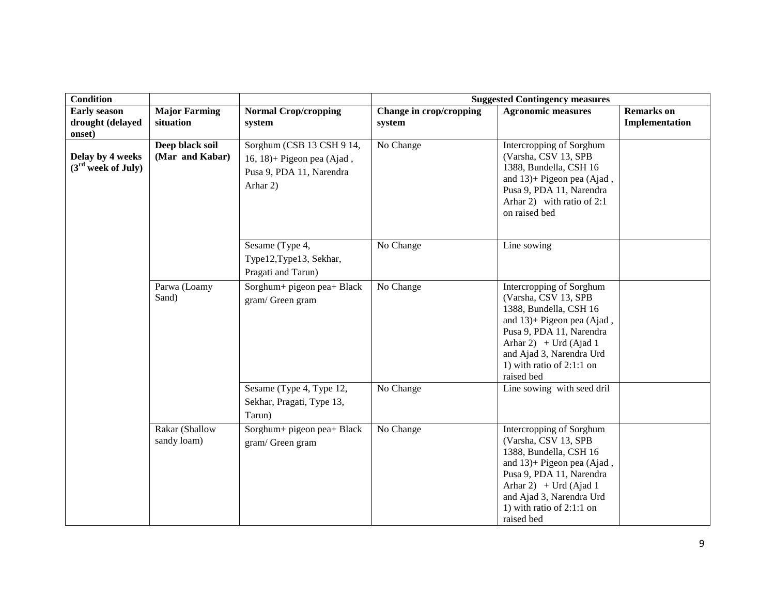| <b>Condition</b>                                  |                                    |                                                                                                 | <b>Suggested Contingency measures</b> |                                                                                                                                                                                                                                            |                                     |  |
|---------------------------------------------------|------------------------------------|-------------------------------------------------------------------------------------------------|---------------------------------------|--------------------------------------------------------------------------------------------------------------------------------------------------------------------------------------------------------------------------------------------|-------------------------------------|--|
| <b>Early season</b><br>drought (delayed<br>onset) | <b>Major Farming</b><br>situation  | <b>Normal Crop/cropping</b><br>system                                                           | Change in crop/cropping<br>system     | <b>Agronomic measures</b>                                                                                                                                                                                                                  | <b>Remarks</b> on<br>Implementation |  |
| Delay by 4 weeks<br>$(3rd$ week of July)          | Deep black soil<br>(Mar and Kabar) | Sorghum (CSB 13 CSH 9 14,<br>16, 18)+ Pigeon pea (Ajad,<br>Pusa 9, PDA 11, Narendra<br>Arhar 2) | No Change                             | Intercropping of Sorghum<br>(Varsha, CSV 13, SPB<br>1388, Bundella, CSH 16<br>and $13$ )+ Pigeon pea (Ajad,<br>Pusa 9, PDA 11, Narendra<br>Arhar 2) with ratio of 2:1<br>on raised bed                                                     |                                     |  |
|                                                   |                                    | Sesame (Type 4,<br>Type12, Type13, Sekhar,<br>Pragati and Tarun)                                | No Change                             | Line sowing                                                                                                                                                                                                                                |                                     |  |
|                                                   | Parwa (Loamy<br>Sand)              | Sorghum+ pigeon pea+ Black<br>gram/ Green gram                                                  | No Change                             | Intercropping of Sorghum<br>(Varsha, CSV 13, SPB<br>1388, Bundella, CSH 16<br>and $13$ )+ Pigeon pea (Ajad,<br>Pusa 9, PDA 11, Narendra<br>Arhar 2) + Urd (Ajad 1<br>and Ajad 3, Narendra Urd<br>1) with ratio of $2:1:1$ on<br>raised bed |                                     |  |
|                                                   |                                    | Sesame (Type 4, Type 12,<br>Sekhar, Pragati, Type 13,<br>Tarun)                                 | No Change                             | Line sowing with seed dril                                                                                                                                                                                                                 |                                     |  |
|                                                   | Rakar (Shallow<br>sandy loam)      | Sorghum+ pigeon pea+ Black<br>gram/ Green gram                                                  | No Change                             | Intercropping of Sorghum<br>(Varsha, CSV 13, SPB<br>1388, Bundella, CSH 16<br>and $13$ )+ Pigeon pea (Ajad,<br>Pusa 9, PDA 11, Narendra<br>Arhar 2) + Urd (Ajad 1<br>and Ajad 3, Narendra Urd<br>1) with ratio of $2:1:1$ on<br>raised bed |                                     |  |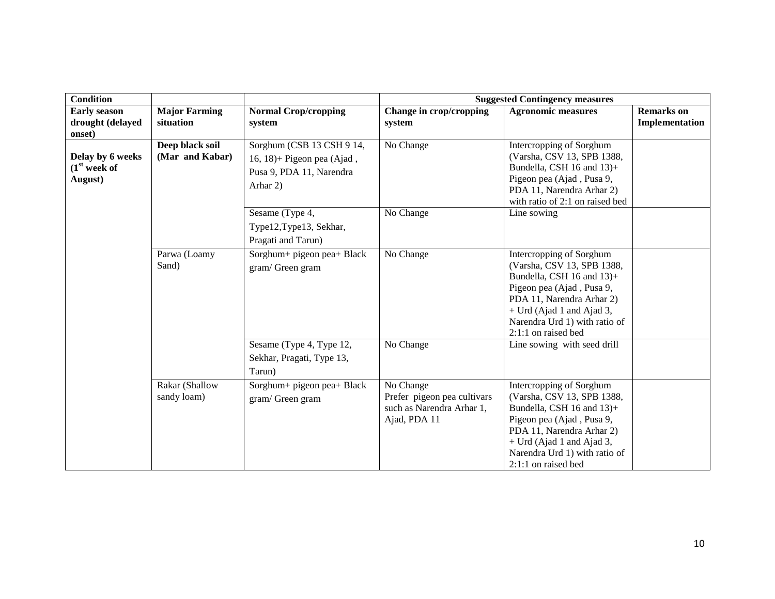| <b>Condition</b>                                    |                                    |                                                                                                 | <b>Suggested Contingency measures</b>                                                 |                                                                                                                                                                                                                                             |                                     |
|-----------------------------------------------------|------------------------------------|-------------------------------------------------------------------------------------------------|---------------------------------------------------------------------------------------|---------------------------------------------------------------------------------------------------------------------------------------------------------------------------------------------------------------------------------------------|-------------------------------------|
| <b>Early season</b><br>drought (delayed<br>onset)   | <b>Major Farming</b><br>situation  | <b>Normal Crop/cropping</b><br>system                                                           | Change in crop/cropping<br>system                                                     | <b>Agronomic measures</b>                                                                                                                                                                                                                   | <b>Remarks</b> on<br>Implementation |
| Delay by 6 weeks<br>$1^{\rm st}$ week of<br>August) | Deep black soil<br>(Mar and Kabar) | Sorghum (CSB 13 CSH 9 14,<br>16, 18)+ Pigeon pea (Ajad,<br>Pusa 9, PDA 11, Narendra<br>Arhar 2) | No Change                                                                             | Intercropping of Sorghum<br>(Varsha, CSV 13, SPB 1388,<br>Bundella, CSH 16 and 13)+<br>Pigeon pea (Ajad, Pusa 9,<br>PDA 11, Narendra Arhar 2)<br>with ratio of 2:1 on raised bed                                                            |                                     |
|                                                     |                                    | Sesame (Type 4,<br>Type12, Type13, Sekhar,<br>Pragati and Tarun)                                | No Change                                                                             | Line sowing                                                                                                                                                                                                                                 |                                     |
|                                                     | Parwa (Loamy<br>Sand)              | Sorghum+ pigeon pea+ Black<br>gram/Green gram                                                   | No Change                                                                             | Intercropping of Sorghum<br>(Varsha, CSV 13, SPB 1388,<br>Bundella, CSH 16 and 13)+<br>Pigeon pea (Ajad, Pusa 9,<br>PDA 11, Narendra Arhar 2)<br>$+$ Urd (Ajad 1 and Ajad 3,<br>Narendra Urd 1) with ratio of<br>$2:1:1$ on raised bed      |                                     |
|                                                     |                                    | Sesame (Type 4, Type 12,<br>Sekhar, Pragati, Type 13,<br>Tarun)                                 | No Change                                                                             | Line sowing with seed drill                                                                                                                                                                                                                 |                                     |
|                                                     | Rakar (Shallow<br>sandy loam)      | Sorghum+ pigeon pea+ Black<br>gram/Green gram                                                   | No Change<br>Prefer pigeon pea cultivars<br>such as Narendra Arhar 1,<br>Ajad, PDA 11 | <b>Intercropping of Sorghum</b><br>(Varsha, CSV 13, SPB 1388,<br>Bundella, CSH 16 and 13)+<br>Pigeon pea (Ajad, Pusa 9,<br>PDA 11, Narendra Arhar 2)<br>$+$ Urd (Ajad 1 and Ajad 3,<br>Narendra Urd 1) with ratio of<br>2:1:1 on raised bed |                                     |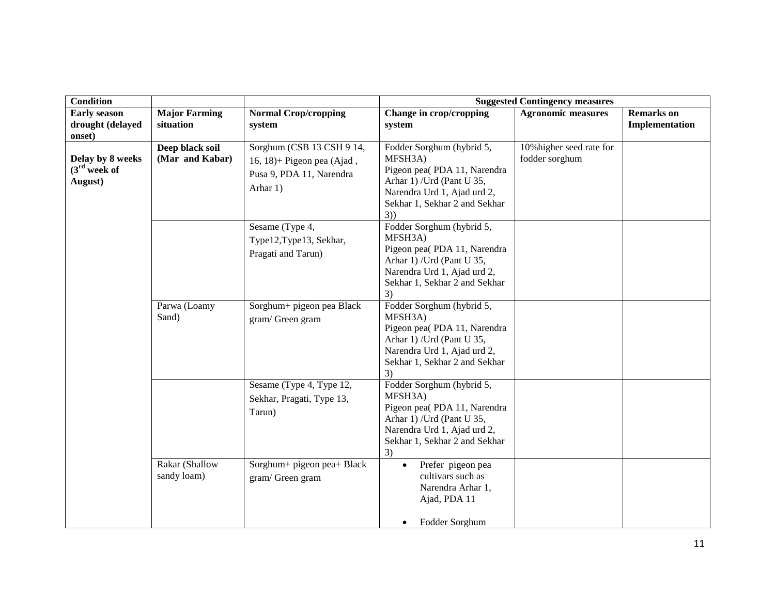| <b>Condition</b>                                  |                                    |                                                                                                 |                                                                                                                                                                         | <b>Suggested Contingency measures</b>      |                                     |
|---------------------------------------------------|------------------------------------|-------------------------------------------------------------------------------------------------|-------------------------------------------------------------------------------------------------------------------------------------------------------------------------|--------------------------------------------|-------------------------------------|
| <b>Early season</b><br>drought (delayed<br>onset) | <b>Major Farming</b><br>situation  | <b>Normal Crop/cropping</b><br>system                                                           | Change in crop/cropping<br>system                                                                                                                                       | <b>Agronomic measures</b>                  | <b>Remarks</b> on<br>Implementation |
| Delay by 8 weeks<br>$(3rd$ week of<br>August)     | Deep black soil<br>(Mar and Kabar) | Sorghum (CSB 13 CSH 9 14,<br>16, 18)+ Pigeon pea (Ajad,<br>Pusa 9, PDA 11, Narendra<br>Arhar 1) | Fodder Sorghum (hybrid 5,<br>MFSH3A)<br>Pigeon pea(PDA 11, Narendra<br>Arhar 1) / Urd (Pant U 35,<br>Narendra Urd 1, Ajad urd 2,<br>Sekhar 1, Sekhar 2 and Sekhar<br>3) | 10% higher seed rate for<br>fodder sorghum |                                     |
|                                                   |                                    | Sesame (Type 4,<br>Type12, Type13, Sekhar,<br>Pragati and Tarun)                                | Fodder Sorghum (hybrid 5,<br>MFSH3A)<br>Pigeon pea(PDA 11, Narendra<br>Arhar 1) / Urd (Pant U 35,<br>Narendra Urd 1, Ajad urd 2,<br>Sekhar 1, Sekhar 2 and Sekhar<br>3) |                                            |                                     |
|                                                   | Parwa (Loamy<br>Sand)              | Sorghum+ pigeon pea Black<br>gram/ Green gram                                                   | Fodder Sorghum (hybrid 5,<br>MFSH3A)<br>Pigeon pea(PDA 11, Narendra<br>Arhar 1) / Urd (Pant U 35,<br>Narendra Urd 1, Ajad urd 2,<br>Sekhar 1, Sekhar 2 and Sekhar<br>3) |                                            |                                     |
|                                                   |                                    | Sesame (Type 4, Type 12,<br>Sekhar, Pragati, Type 13,<br>Tarun)                                 | Fodder Sorghum (hybrid 5,<br>MFSH3A)<br>Pigeon pea(PDA 11, Narendra<br>Arhar 1) / Urd (Pant U 35,<br>Narendra Urd 1, Ajad urd 2,<br>Sekhar 1, Sekhar 2 and Sekhar<br>3) |                                            |                                     |
|                                                   | Rakar (Shallow<br>sandy loam)      | Sorghum+ pigeon pea+ Black<br>gram/ Green gram                                                  | Prefer pigeon pea<br>$\bullet$<br>cultivars such as<br>Narendra Arhar 1,<br>Ajad, PDA 11<br>Fodder Sorghum<br>$\bullet$                                                 |                                            |                                     |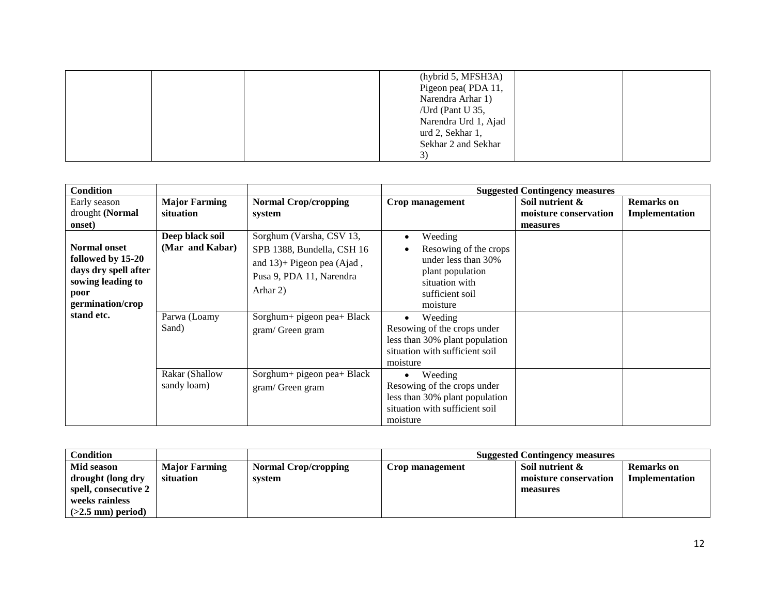|  | (hybrid 5, MFSH3A)   |  |
|--|----------------------|--|
|  | Pigeon pea(PDA 11,   |  |
|  | Narendra Arhar 1)    |  |
|  | /Urd (Pant U 35,     |  |
|  | Narendra Urd 1, Ajad |  |
|  | urd 2, Sekhar 1,     |  |
|  | Sekhar 2 and Sekhar  |  |
|  |                      |  |

| <b>Condition</b>                                                                                                  |                                    |                                                                                                                                 |                                                                                                                                     | <b>Suggested Contingency measures</b>    |                                     |
|-------------------------------------------------------------------------------------------------------------------|------------------------------------|---------------------------------------------------------------------------------------------------------------------------------|-------------------------------------------------------------------------------------------------------------------------------------|------------------------------------------|-------------------------------------|
| Early season<br>drought (Normal                                                                                   | <b>Major Farming</b><br>situation  | <b>Normal Crop/cropping</b><br>system                                                                                           | Crop management                                                                                                                     | Soil nutrient &<br>moisture conservation | <b>Remarks</b> on<br>Implementation |
| onset)                                                                                                            |                                    |                                                                                                                                 |                                                                                                                                     | measures                                 |                                     |
| <b>Normal onset</b><br>followed by 15-20<br>days dry spell after<br>sowing leading to<br>poor<br>germination/crop | Deep black soil<br>(Mar and Kabar) | Sorghum (Varsha, CSV 13,<br>SPB 1388, Bundella, CSH 16<br>and $13$ )+ Pigeon pea (Ajad,<br>Pusa 9, PDA 11, Narendra<br>Arhar 2) | Weeding<br>Resowing of the crops<br>under less than 30%<br>plant population<br>situation with<br>sufficient soil<br>moisture        |                                          |                                     |
| stand etc.                                                                                                        | Parwa (Loamy<br>Sand)              | Sorghum+ pigeon pea+ Black<br>gram/ Green gram                                                                                  | Weeding<br>Resowing of the crops under<br>less than 30% plant population<br>situation with sufficient soil<br>moisture              |                                          |                                     |
|                                                                                                                   | Rakar (Shallow<br>sandy loam)      | Sorghum+ pigeon pea+ Black<br>gram/ Green gram                                                                                  | Weeding<br>$\bullet$<br>Resowing of the crops under<br>less than 30% plant population<br>situation with sufficient soil<br>moisture |                                          |                                     |

| <b>Condition</b>     |                      |                             | <b>Suggested Contingency measures</b> |                       |                       |
|----------------------|----------------------|-----------------------------|---------------------------------------|-----------------------|-----------------------|
| Mid season           | <b>Major Farming</b> | <b>Normal Crop/cropping</b> | Crop management                       | Soil nutrient &       | <b>Remarks</b> on     |
| drought (long dry    | situation            | system                      |                                       | moisture conservation | <b>Implementation</b> |
| spell, consecutive 2 |                      |                             |                                       | measures              |                       |
| weeks rainless       |                      |                             |                                       |                       |                       |
| $(>2.5$ mm) period)  |                      |                             |                                       |                       |                       |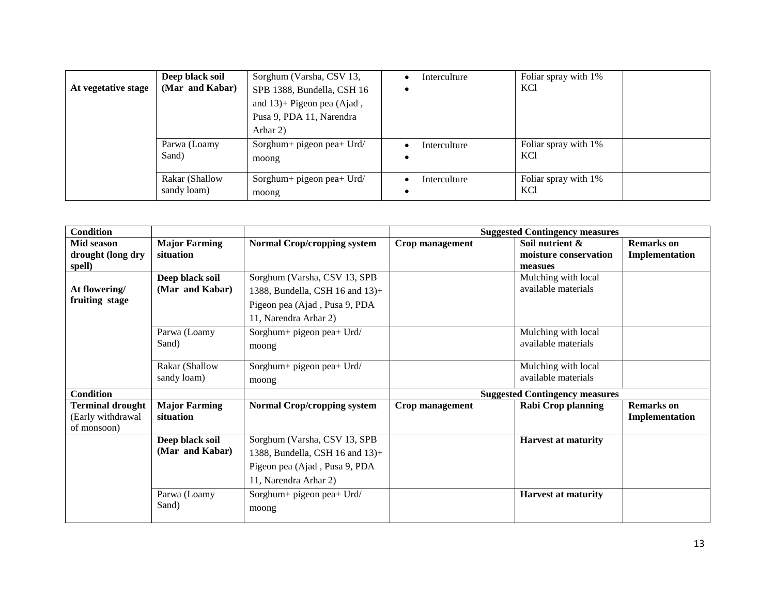| At vegetative stage | Deep black soil<br>(Mar and Kabar) | Sorghum (Varsha, CSV 13,<br>SPB 1388, Bundella, CSH 16<br>and $13$ )+ Pigeon pea (Ajad,<br>Pusa 9, PDA 11, Narendra<br>Arhar 2) | Interculture | Foliar spray with 1%<br><b>KCl</b>      |
|---------------------|------------------------------------|---------------------------------------------------------------------------------------------------------------------------------|--------------|-----------------------------------------|
|                     | Parwa (Loamy<br>Sand)              | Sorghum+ pigeon pea+ Urd/<br>moong                                                                                              | Interculture | Foliar spray with 1%<br>KC <sub>1</sub> |
|                     | Rakar (Shallow<br>sandy loam)      | Sorghum+ pigeon pea+ Urd/<br>moong                                                                                              | Interculture | Foliar spray with 1%<br>KC <sub>1</sub> |

| <b>Condition</b>                                            |                                    |                                                                                                                           |                 | <b>Suggested Contingency measures</b>               |                                     |
|-------------------------------------------------------------|------------------------------------|---------------------------------------------------------------------------------------------------------------------------|-----------------|-----------------------------------------------------|-------------------------------------|
| Mid season<br>drought (long dry<br>spell)                   | <b>Major Farming</b><br>situation  | <b>Normal Crop/cropping system</b>                                                                                        | Crop management | Soil nutrient &<br>moisture conservation<br>measues | <b>Remarks</b> on<br>Implementation |
| At flowering/<br>fruiting stage                             | Deep black soil<br>(Mar and Kabar) | Sorghum (Varsha, CSV 13, SPB<br>1388, Bundella, CSH 16 and 13)+<br>Pigeon pea (Ajad, Pusa 9, PDA<br>11, Narendra Arhar 2) |                 | Mulching with local<br>available materials          |                                     |
|                                                             | Parwa (Loamy<br>Sand)              | Sorghum+ pigeon pea+ Urd/<br>moong                                                                                        |                 | Mulching with local<br>available materials          |                                     |
|                                                             | Rakar (Shallow<br>sandy loam)      | Sorghum+ pigeon pea+ Urd/<br>moong                                                                                        |                 | Mulching with local<br>available materials          |                                     |
| <b>Condition</b>                                            |                                    |                                                                                                                           |                 | <b>Suggested Contingency measures</b>               |                                     |
| <b>Terminal drought</b><br>(Early withdrawal<br>of monsoon) | <b>Major Farming</b><br>situation  | <b>Normal Crop/cropping system</b>                                                                                        | Crop management | Rabi Crop planning                                  | <b>Remarks</b> on<br>Implementation |
|                                                             | Deep black soil<br>(Mar and Kabar) | Sorghum (Varsha, CSV 13, SPB<br>1388, Bundella, CSH 16 and 13)+<br>Pigeon pea (Ajad, Pusa 9, PDA<br>11, Narendra Arhar 2) |                 | <b>Harvest at maturity</b>                          |                                     |
|                                                             | Parwa (Loamy<br>Sand)              | Sorghum+ pigeon pea+ Urd/<br>moong                                                                                        |                 | <b>Harvest at maturity</b>                          |                                     |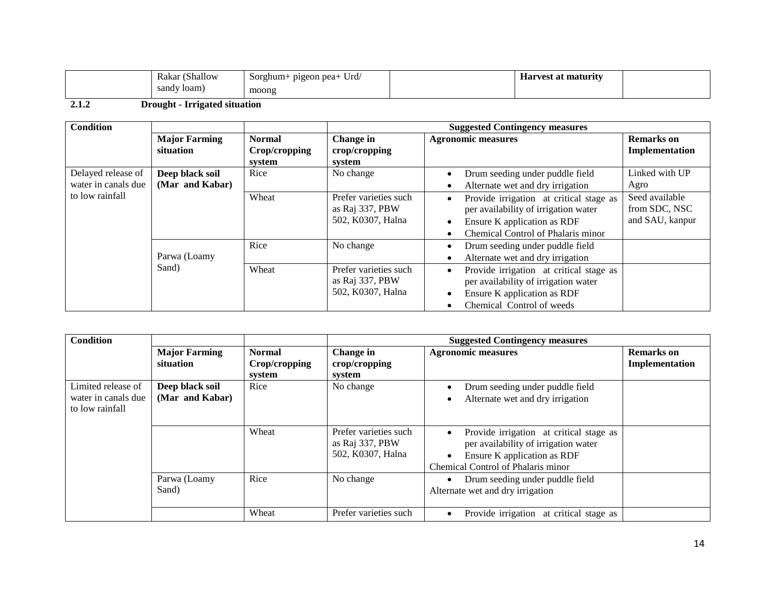| (Shallow)<br>Rakar | Urd/<br>Sorghum-<br>pigeon pea+ | Harvest at maturity |  |
|--------------------|---------------------------------|---------------------|--|
| sandy Ioam)        | moong                           |                     |  |

### **2.1.2 Drought - Irrigated situation**

| <b>Condition</b>                          |                                    |                                          | <b>Suggested Contingency measures</b>                         |                                                                                                                                                                   |                                                    |
|-------------------------------------------|------------------------------------|------------------------------------------|---------------------------------------------------------------|-------------------------------------------------------------------------------------------------------------------------------------------------------------------|----------------------------------------------------|
|                                           | <b>Major Farming</b><br>situation  | <b>Normal</b><br>Crop/cropping<br>system | Change in<br>crop/cropping<br>system                          | <b>Agronomic measures</b>                                                                                                                                         | <b>Remarks</b> on<br>Implementation                |
| Delayed release of<br>water in canals due | Deep black soil<br>(Mar and Kabar) | Rice                                     | No change                                                     | Drum seeding under puddle field<br>Alternate wet and dry irrigation                                                                                               | Linked with UP<br>Agro                             |
| to low rainfall                           |                                    | Wheat                                    | Prefer varieties such<br>as Raj 337, PBW<br>502, K0307, Halna | Provide irrigation at critical stage as<br>$\bullet$<br>per availability of irrigation water<br>Ensure K application as RDF<br>Chemical Control of Phalaris minor | Seed available<br>from SDC, NSC<br>and SAU, kanpur |
|                                           | Parwa (Loamy                       | Rice                                     | No change                                                     | Drum seeding under puddle field<br>Alternate wet and dry irrigation                                                                                               |                                                    |
|                                           | Sand)                              | Wheat                                    | Prefer varieties such<br>as Raj 337, PBW<br>502, K0307, Halna | Provide irrigation at critical stage as<br>$\bullet$<br>per availability of irrigation water<br>Ensure K application as RDF<br>Chemical Control of weeds          |                                                    |

| <b>Condition</b>                                             |                                    |                                          |                                                               | <b>Suggested Contingency measures</b>                                                                                                                             |                                     |
|--------------------------------------------------------------|------------------------------------|------------------------------------------|---------------------------------------------------------------|-------------------------------------------------------------------------------------------------------------------------------------------------------------------|-------------------------------------|
|                                                              | <b>Major Farming</b><br>situation  | <b>Normal</b><br>Crop/cropping<br>system | Change in<br>crop/cropping<br>system                          | <b>Agronomic measures</b>                                                                                                                                         | <b>Remarks</b> on<br>Implementation |
| Limited release of<br>water in canals due<br>to low rainfall | Deep black soil<br>(Mar and Kabar) | Rice                                     | No change                                                     | Drum seeding under puddle field<br>$\bullet$<br>Alternate wet and dry irrigation                                                                                  |                                     |
|                                                              |                                    | Wheat                                    | Prefer varieties such<br>as Raj 337, PBW<br>502, K0307, Halna | Provide irrigation at critical stage as<br>$\bullet$<br>per availability of irrigation water<br>Ensure K application as RDF<br>Chemical Control of Phalaris minor |                                     |
|                                                              | Parwa (Loamy<br>Sand)              | Rice                                     | No change                                                     | Drum seeding under puddle field<br>Alternate wet and dry irrigation                                                                                               |                                     |
|                                                              |                                    | Wheat                                    | Prefer varieties such                                         | Provide irrigation at critical stage as                                                                                                                           |                                     |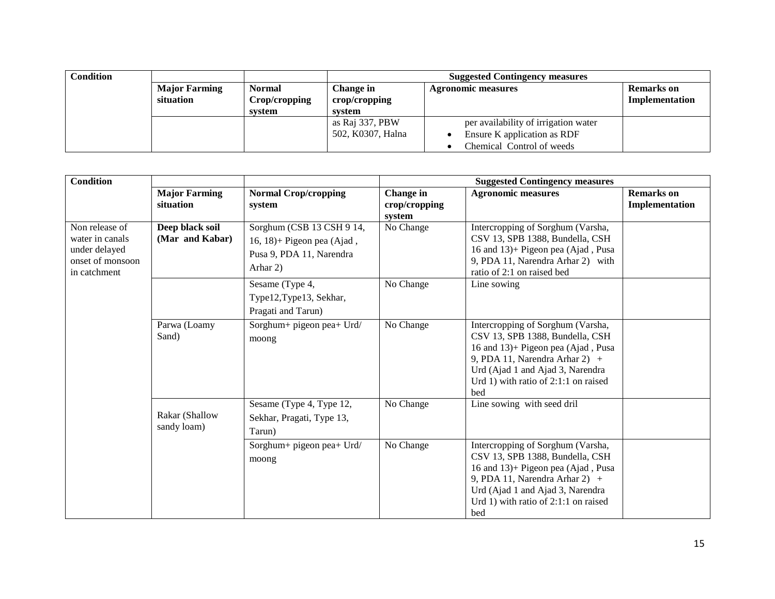| <b>Condition</b> |                      |               | <b>Suggested Contingency measures</b>         |                                      |                |
|------------------|----------------------|---------------|-----------------------------------------------|--------------------------------------|----------------|
|                  | <b>Major Farming</b> | <b>Normal</b> | <b>Change in</b><br><b>Agronomic measures</b> |                                      | Remarks on     |
|                  | situation            | Crop/cropping | crop/cropping                                 |                                      | Implementation |
|                  |                      | system        | svstem                                        |                                      |                |
|                  |                      |               | as Raj 337, PBW                               | per availability of irrigation water |                |
|                  |                      |               | 502, K0307, Halna                             | Ensure K application as RDF          |                |
|                  |                      |               |                                               | Chemical Control of weeds            |                |

| <b>Condition</b>                                                                       |                                    |                                                                                                 | <b>Suggested Contingency measures</b> |                                                                                                                                                                                                                                     |                                     |  |
|----------------------------------------------------------------------------------------|------------------------------------|-------------------------------------------------------------------------------------------------|---------------------------------------|-------------------------------------------------------------------------------------------------------------------------------------------------------------------------------------------------------------------------------------|-------------------------------------|--|
|                                                                                        | <b>Major Farming</b><br>situation  | <b>Normal Crop/cropping</b><br>system                                                           | Change in<br>crop/cropping<br>system  | <b>Agronomic measures</b>                                                                                                                                                                                                           | <b>Remarks</b> on<br>Implementation |  |
| Non release of<br>water in canals<br>under delayed<br>onset of monsoon<br>in catchment | Deep black soil<br>(Mar and Kabar) | Sorghum (CSB 13 CSH 9 14,<br>16, 18)+ Pigeon pea (Ajad,<br>Pusa 9, PDA 11, Narendra<br>Arhar 2) | No Change                             | Intercropping of Sorghum (Varsha,<br>CSV 13, SPB 1388, Bundella, CSH<br>16 and 13)+ Pigeon pea (Ajad, Pusa<br>9, PDA 11, Narendra Arhar 2) with<br>ratio of 2:1 on raised bed                                                       |                                     |  |
|                                                                                        |                                    | Sesame (Type 4,<br>Type12, Type13, Sekhar,<br>Pragati and Tarun)                                | No Change                             | Line sowing                                                                                                                                                                                                                         |                                     |  |
|                                                                                        | Parwa (Loamy<br>Sand)              | Sorghum+ pigeon pea+ Urd/<br>moong                                                              | No Change                             | Intercropping of Sorghum (Varsha,<br>CSV 13, SPB 1388, Bundella, CSH<br>16 and 13)+ Pigeon pea (Ajad, Pusa<br>9, PDA 11, Narendra Arhar 2) $+$<br>Urd (Ajad 1 and Ajad 3, Narendra<br>Urd 1) with ratio of $2:1:1$ on raised<br>bed |                                     |  |
|                                                                                        | Rakar (Shallow<br>sandy loam)      | Sesame (Type 4, Type 12,<br>Sekhar, Pragati, Type 13,<br>Tarun)                                 | No Change                             | Line sowing with seed dril                                                                                                                                                                                                          |                                     |  |
|                                                                                        |                                    | Sorghum+ pigeon pea+ Urd/<br>moong                                                              | No Change                             | Intercropping of Sorghum (Varsha,<br>CSV 13, SPB 1388, Bundella, CSH<br>16 and 13)+ Pigeon pea (Ajad, Pusa<br>9, PDA 11, Narendra Arhar 2) $+$<br>Urd (Ajad 1 and Ajad 3, Narendra<br>Urd 1) with ratio of $2:1:1$ on raised<br>bed |                                     |  |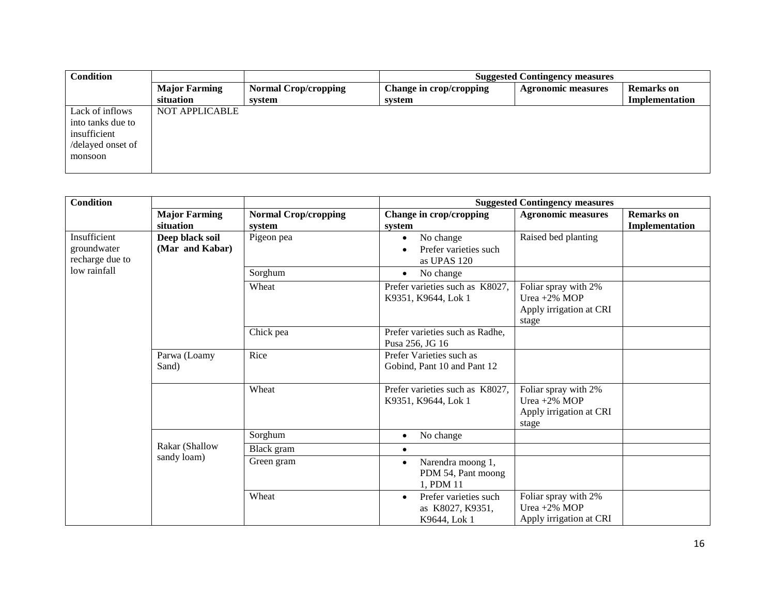| <b>Condition</b>  |                      |                             | <b>Suggested Contingency measures</b> |                           |                   |
|-------------------|----------------------|-----------------------------|---------------------------------------|---------------------------|-------------------|
|                   | <b>Major Farming</b> | <b>Normal Crop/cropping</b> | Change in crop/cropping               | <b>Agronomic measures</b> | <b>Remarks</b> on |
|                   | situation            | system                      | system                                |                           | Implementation    |
| Lack of inflows   | NOT APPLICABLE       |                             |                                       |                           |                   |
| into tanks due to |                      |                             |                                       |                           |                   |
| insufficient      |                      |                             |                                       |                           |                   |
| /delayed onset of |                      |                             |                                       |                           |                   |
| monsoon           |                      |                             |                                       |                           |                   |
|                   |                      |                             |                                       |                           |                   |

| <b>Condition</b>                               |                                    |                             | <b>Suggested Contingency measures</b>                                       |                                                                             |                   |  |
|------------------------------------------------|------------------------------------|-----------------------------|-----------------------------------------------------------------------------|-----------------------------------------------------------------------------|-------------------|--|
|                                                | <b>Major Farming</b>               | <b>Normal Crop/cropping</b> | Change in crop/cropping                                                     | <b>Agronomic measures</b>                                                   | <b>Remarks</b> on |  |
|                                                | situation                          | system                      | system                                                                      |                                                                             | Implementation    |  |
| Insufficient<br>groundwater<br>recharge due to | Deep black soil<br>(Mar and Kabar) | Pigeon pea                  | No change<br>$\bullet$<br>Prefer varieties such<br>$\bullet$<br>as UPAS 120 | Raised bed planting                                                         |                   |  |
| low rainfall                                   |                                    | Sorghum                     | No change<br>$\bullet$                                                      |                                                                             |                   |  |
|                                                |                                    | Wheat                       | Prefer varieties such as K8027,<br>K9351, K9644, Lok 1                      | Foliar spray with 2%<br>Urea $+2\%$ MOP<br>Apply irrigation at CRI<br>stage |                   |  |
|                                                |                                    | Chick pea                   | Prefer varieties such as Radhe,<br>Pusa 256, JG 16                          |                                                                             |                   |  |
|                                                | Parwa (Loamy<br>Sand)              | Rice                        | Prefer Varieties such as<br>Gobind, Pant 10 and Pant 12                     |                                                                             |                   |  |
|                                                |                                    | Wheat                       | Prefer varieties such as K8027,<br>K9351, K9644, Lok 1                      | Foliar spray with 2%<br>Urea $+2\%$ MOP<br>Apply irrigation at CRI<br>stage |                   |  |
|                                                |                                    | Sorghum                     | No change<br>$\bullet$                                                      |                                                                             |                   |  |
|                                                | Rakar (Shallow                     | Black gram                  | $\bullet$                                                                   |                                                                             |                   |  |
|                                                | sandy loam)                        | Green gram                  | Narendra moong 1,<br>$\bullet$<br>PDM 54, Pant moong<br>1. PDM 11           |                                                                             |                   |  |
|                                                |                                    | Wheat                       | Prefer varieties such<br>$\bullet$<br>as K8027, K9351,<br>K9644, Lok 1      | Foliar spray with 2%<br>Urea $+2\%$ MOP<br>Apply irrigation at CRI          |                   |  |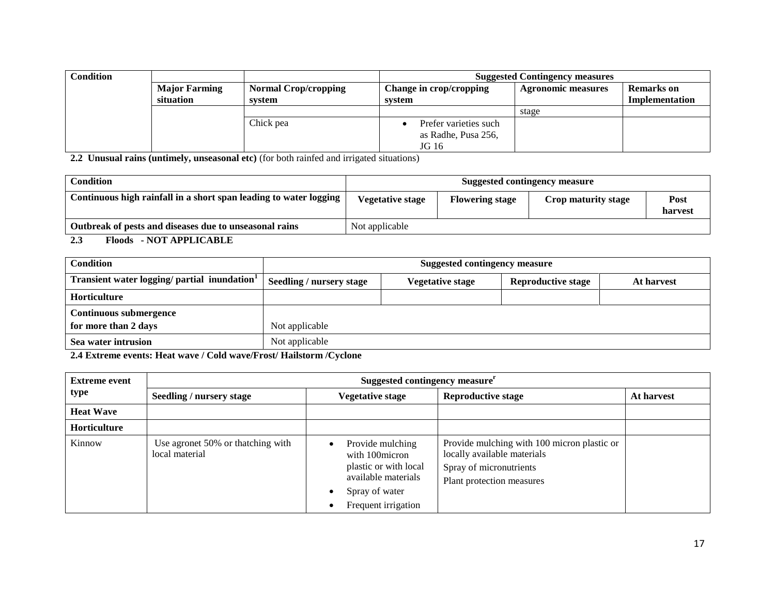| Condition |                      |                             | <b>Suggested Contingency measures</b> |                           |                   |
|-----------|----------------------|-----------------------------|---------------------------------------|---------------------------|-------------------|
|           | <b>Major Farming</b> | <b>Normal Crop/cropping</b> | Change in crop/cropping               | <b>Agronomic measures</b> | <b>Remarks</b> on |
|           | situation            | system                      | system                                |                           | Implementation    |
|           |                      |                             |                                       | stage                     |                   |
|           |                      | Chick pea                   | Prefer varieties such                 |                           |                   |
|           |                      |                             | as Radhe, Pusa 256,                   |                           |                   |
|           |                      |                             | JG 16                                 |                           |                   |

**2.2 Unusual rains (untimely, unseasonal etc)** (for both rainfed and irrigated situations)

| <b>Condition</b>                                                  | Suggested contingency measure |                        |                     |                 |
|-------------------------------------------------------------------|-------------------------------|------------------------|---------------------|-----------------|
| Continuous high rainfall in a short span leading to water logging | <b>Vegetative stage</b>       | <b>Flowering stage</b> | Crop maturity stage | Post<br>harvest |
| Outbreak of pests and diseases due to unseasonal rains            | Not applicable                |                        |                     |                 |
| $\mathbf{M}$<br>$\mathbf{r}$<br>$\sim$ $\sim$                     |                               |                        |                     |                 |

#### **2.3 Floods - NOT APPLICABLE**

| <b>Condition</b>                                         | Suggested contingency measure   |                         |                           |            |  |
|----------------------------------------------------------|---------------------------------|-------------------------|---------------------------|------------|--|
| Transient water logging/ partial inundation <sup>1</sup> | <b>Seedling / nursery stage</b> | <b>Vegetative stage</b> | <b>Reproductive stage</b> | At harvest |  |
| <b>Horticulture</b>                                      |                                 |                         |                           |            |  |
| <b>Continuous submergence</b>                            |                                 |                         |                           |            |  |
| for more than 2 days                                     | Not applicable                  |                         |                           |            |  |
| Sea water intrusion                                      | Not applicable                  |                         |                           |            |  |

**2.4 Extreme events: Heat wave / Cold wave/Frost/ Hailstorm /Cyclone**

| <b>Extreme event</b><br>type | Suggested contingency measure <sup>r</sup>          |                                                                                                                              |                                                                                                                                    |            |  |  |
|------------------------------|-----------------------------------------------------|------------------------------------------------------------------------------------------------------------------------------|------------------------------------------------------------------------------------------------------------------------------------|------------|--|--|
|                              | Seedling / nursery stage                            | <b>Vegetative stage</b>                                                                                                      | <b>Reproductive stage</b>                                                                                                          | At harvest |  |  |
| <b>Heat Wave</b>             |                                                     |                                                                                                                              |                                                                                                                                    |            |  |  |
| Horticulture                 |                                                     |                                                                                                                              |                                                                                                                                    |            |  |  |
| Kinnow                       | Use agronet 50% or thatching with<br>local material | Provide mulching<br>with 100 micron<br>plastic or with local<br>available materials<br>Spray of water<br>Frequent irrigation | Provide mulching with 100 micron plastic or<br>locally available materials<br>Spray of micronutrients<br>Plant protection measures |            |  |  |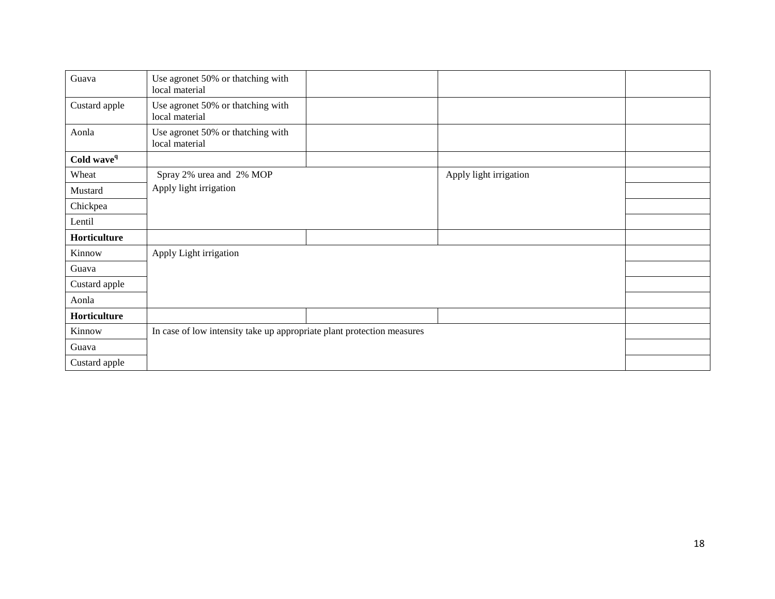| Guava                  | Use agronet 50% or thatching with<br>local material                    |  |                        |  |
|------------------------|------------------------------------------------------------------------|--|------------------------|--|
| Custard apple          | Use agronet 50% or thatching with<br>local material                    |  |                        |  |
| Aonla                  | Use agronet 50% or thatching with<br>local material                    |  |                        |  |
| Cold wave <sup>q</sup> |                                                                        |  |                        |  |
| Wheat                  | Spray 2% urea and 2% MOP                                               |  | Apply light irrigation |  |
| Mustard                | Apply light irrigation                                                 |  |                        |  |
| Chickpea               |                                                                        |  |                        |  |
| Lentil                 |                                                                        |  |                        |  |
| Horticulture           |                                                                        |  |                        |  |
| Kinnow                 | Apply Light irrigation                                                 |  |                        |  |
| Guava                  |                                                                        |  |                        |  |
| Custard apple          |                                                                        |  |                        |  |
| Aonla                  |                                                                        |  |                        |  |
| Horticulture           |                                                                        |  |                        |  |
| Kinnow                 | In case of low intensity take up appropriate plant protection measures |  |                        |  |
| Guava                  |                                                                        |  |                        |  |
| Custard apple          |                                                                        |  |                        |  |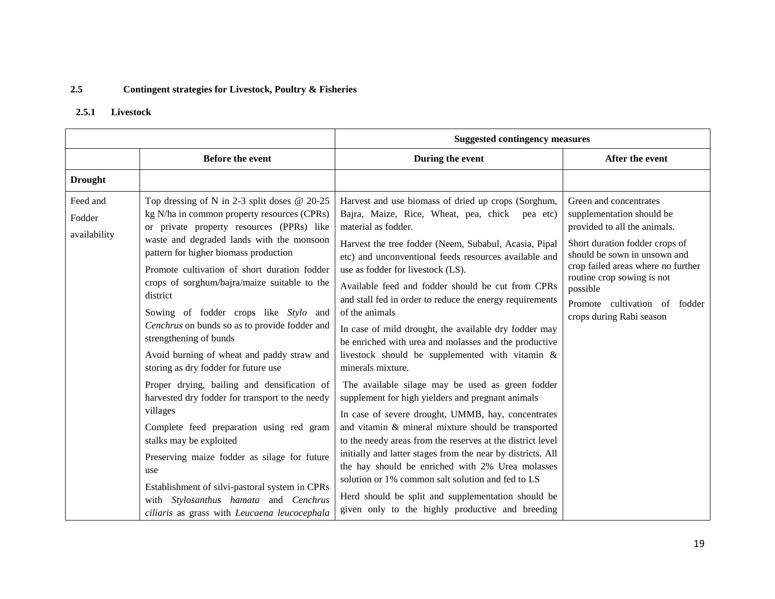### **2.5 Contingent strategies for Livestock, Poultry & Fisheries**

#### **2.5.1 Livestock**

|                                    |                                                                                                                                                                                                                                                                                                                                                                                                                                                                                                                                                                                                                                                                                                                                                                                                                                                                                                                                               | <b>Suggested contingency measures</b>                                                                                                                                                                                                                                                                                                                                                                                                                                                                                                                                                                                                                                                                                                                                                                                                                                                                                                                                                                                                                                                                                                                                                  |                                                                                                                                                                                                                                                                                                    |  |
|------------------------------------|-----------------------------------------------------------------------------------------------------------------------------------------------------------------------------------------------------------------------------------------------------------------------------------------------------------------------------------------------------------------------------------------------------------------------------------------------------------------------------------------------------------------------------------------------------------------------------------------------------------------------------------------------------------------------------------------------------------------------------------------------------------------------------------------------------------------------------------------------------------------------------------------------------------------------------------------------|----------------------------------------------------------------------------------------------------------------------------------------------------------------------------------------------------------------------------------------------------------------------------------------------------------------------------------------------------------------------------------------------------------------------------------------------------------------------------------------------------------------------------------------------------------------------------------------------------------------------------------------------------------------------------------------------------------------------------------------------------------------------------------------------------------------------------------------------------------------------------------------------------------------------------------------------------------------------------------------------------------------------------------------------------------------------------------------------------------------------------------------------------------------------------------------|----------------------------------------------------------------------------------------------------------------------------------------------------------------------------------------------------------------------------------------------------------------------------------------------------|--|
|                                    | <b>Before the event</b>                                                                                                                                                                                                                                                                                                                                                                                                                                                                                                                                                                                                                                                                                                                                                                                                                                                                                                                       | During the event                                                                                                                                                                                                                                                                                                                                                                                                                                                                                                                                                                                                                                                                                                                                                                                                                                                                                                                                                                                                                                                                                                                                                                       | After the event                                                                                                                                                                                                                                                                                    |  |
| <b>Drought</b>                     |                                                                                                                                                                                                                                                                                                                                                                                                                                                                                                                                                                                                                                                                                                                                                                                                                                                                                                                                               |                                                                                                                                                                                                                                                                                                                                                                                                                                                                                                                                                                                                                                                                                                                                                                                                                                                                                                                                                                                                                                                                                                                                                                                        |                                                                                                                                                                                                                                                                                                    |  |
| Feed and<br>Fodder<br>availability | Top dressing of N in 2-3 split doses $@$ 20-25<br>kg N/ha in common property resources (CPRs)<br>or private property resources (PPRs) like<br>waste and degraded lands with the monsoon<br>pattern for higher biomass production<br>Promote cultivation of short duration fodder<br>crops of sorghum/bajra/maize suitable to the<br>district<br>Sowing of fodder crops like Stylo and<br>Cenchrus on bunds so as to provide fodder and<br>strengthening of bunds<br>Avoid burning of wheat and paddy straw and<br>storing as dry fodder for future use<br>Proper drying, bailing and densification of<br>harvested dry fodder for transport to the needy<br>villages<br>Complete feed preparation using red gram<br>stalks may be exploited<br>Preserving maize fodder as silage for future<br>use<br>Establishment of silvi-pastoral system in CPRs<br>with Stylosanthus hamata and Cenchrus<br>ciliaris as grass with Leucaena leucocephala | Harvest and use biomass of dried up crops (Sorghum,<br>Bajra, Maize, Rice, Wheat, pea, chick pea etc)<br>material as fodder.<br>Harvest the tree fodder (Neem, Subabul, Acasia, Pipal<br>etc) and unconventional feeds resources available and<br>use as fodder for livestock (LS).<br>Available feed and fodder should be cut from CPRs<br>and stall fed in order to reduce the energy requirements<br>of the animals<br>In case of mild drought, the available dry fodder may<br>be enriched with urea and molasses and the productive<br>livestock should be supplemented with vitamin &<br>minerals mixture.<br>The available silage may be used as green fodder<br>supplement for high yielders and pregnant animals<br>In case of severe drought, UMMB, hay, concentrates<br>and vitamin & mineral mixture should be transported<br>to the needy areas from the reserves at the district level<br>initially and latter stages from the near by districts. All<br>the hay should be enriched with 2% Urea molasses<br>solution or 1% common salt solution and fed to LS<br>Herd should be split and supplementation should be<br>given only to the highly productive and breeding | Green and concentrates<br>supplementation should be<br>provided to all the animals.<br>Short duration fodder crops of<br>should be sown in unsown and<br>crop failed areas where no further<br>routine crop sowing is not<br>possible<br>Promote cultivation of fodder<br>crops during Rabi season |  |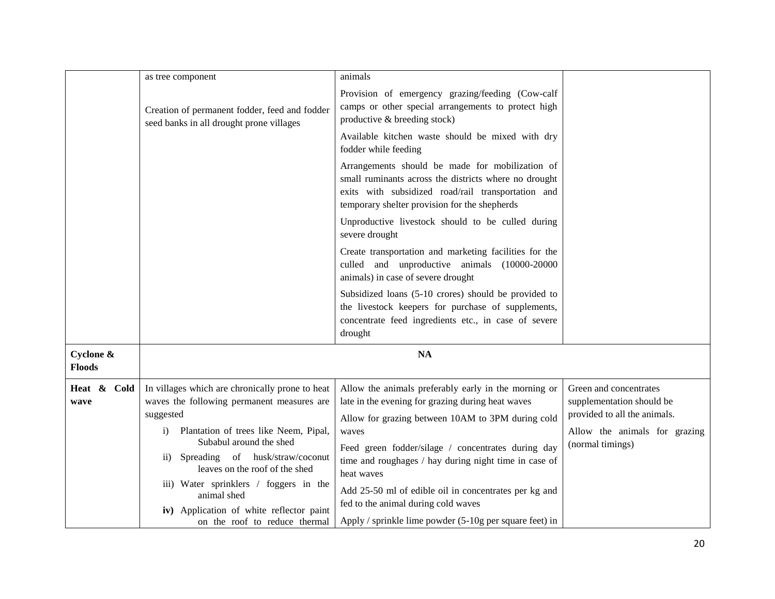|                            | as tree component                                                                                                                                                                                                                                                                                                                                                                     | animals                                                                                                                                                                                                                                                                                                                                                                                              |                                                                                                                                          |
|----------------------------|---------------------------------------------------------------------------------------------------------------------------------------------------------------------------------------------------------------------------------------------------------------------------------------------------------------------------------------------------------------------------------------|------------------------------------------------------------------------------------------------------------------------------------------------------------------------------------------------------------------------------------------------------------------------------------------------------------------------------------------------------------------------------------------------------|------------------------------------------------------------------------------------------------------------------------------------------|
|                            | Creation of permanent fodder, feed and fodder<br>seed banks in all drought prone villages                                                                                                                                                                                                                                                                                             | Provision of emergency grazing/feeding (Cow-calf<br>camps or other special arrangements to protect high<br>productive & breeding stock)                                                                                                                                                                                                                                                              |                                                                                                                                          |
|                            |                                                                                                                                                                                                                                                                                                                                                                                       | Available kitchen waste should be mixed with dry<br>fodder while feeding                                                                                                                                                                                                                                                                                                                             |                                                                                                                                          |
|                            |                                                                                                                                                                                                                                                                                                                                                                                       | Arrangements should be made for mobilization of<br>small ruminants across the districts where no drought<br>exits with subsidized road/rail transportation and<br>temporary shelter provision for the shepherds                                                                                                                                                                                      |                                                                                                                                          |
|                            |                                                                                                                                                                                                                                                                                                                                                                                       | Unproductive livestock should to be culled during<br>severe drought                                                                                                                                                                                                                                                                                                                                  |                                                                                                                                          |
|                            |                                                                                                                                                                                                                                                                                                                                                                                       | Create transportation and marketing facilities for the<br>culled and unproductive animals (10000-20000<br>animals) in case of severe drought                                                                                                                                                                                                                                                         |                                                                                                                                          |
|                            |                                                                                                                                                                                                                                                                                                                                                                                       | Subsidized loans (5-10 crores) should be provided to<br>the livestock keepers for purchase of supplements,<br>concentrate feed ingredients etc., in case of severe<br>drought                                                                                                                                                                                                                        |                                                                                                                                          |
| Cyclone &<br><b>Floods</b> |                                                                                                                                                                                                                                                                                                                                                                                       | <b>NA</b>                                                                                                                                                                                                                                                                                                                                                                                            |                                                                                                                                          |
| Heat & Cold<br>wave        | In villages which are chronically prone to heat<br>waves the following permanent measures are<br>suggested<br>Plantation of trees like Neem, Pipal,<br>$\mathbf{i}$<br>Subabul around the shed<br>Spreading of husk/straw/coconut<br>$\rm ii)$<br>leaves on the roof of the shed<br>iii) Water sprinklers / foggers in the<br>animal shed<br>iv) Application of white reflector paint | Allow the animals preferably early in the morning or<br>late in the evening for grazing during heat waves<br>Allow for grazing between 10AM to 3PM during cold<br>waves<br>Feed green fodder/silage / concentrates during day<br>time and roughages / hay during night time in case of<br>heat waves<br>Add 25-50 ml of edible oil in concentrates per kg and<br>fed to the animal during cold waves | Green and concentrates<br>supplementation should be<br>provided to all the animals.<br>Allow the animals for grazing<br>(normal timings) |
|                            | on the roof to reduce thermal                                                                                                                                                                                                                                                                                                                                                         | Apply / sprinkle lime powder $(5-10)$ g per square feet) in                                                                                                                                                                                                                                                                                                                                          |                                                                                                                                          |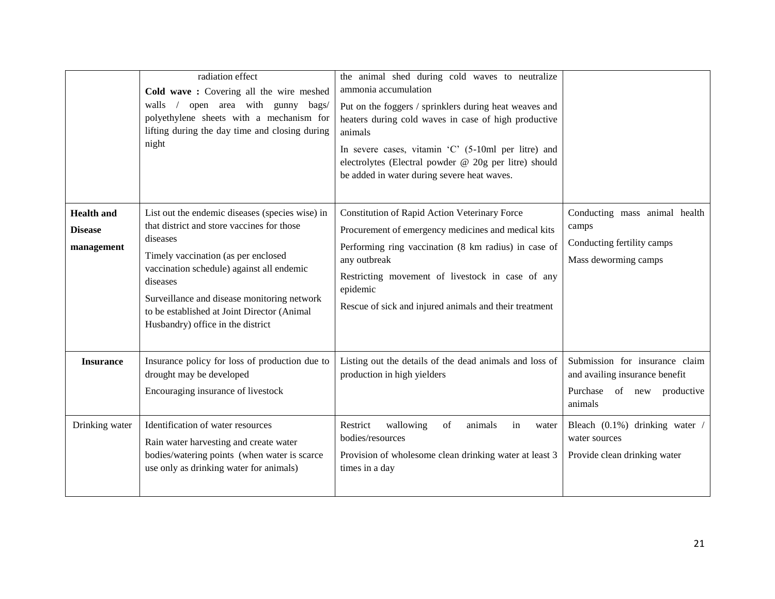|                                                   | radiation effect<br>Cold wave: Covering all the wire meshed<br>open area with gunny<br>walls<br>bags/<br>polyethylene sheets with a mechanism for<br>lifting during the day time and closing during<br>night                                                                                                                                 | the animal shed during cold waves to neutralize<br>ammonia accumulation<br>Put on the foggers / sprinklers during heat weaves and<br>heaters during cold waves in case of high productive<br>animals<br>In severe cases, vitamin 'C' (5-10ml per litre) and<br>electrolytes (Electral powder @ 20g per litre) should<br>be added in water during severe heat waves. |                                                                                                              |
|---------------------------------------------------|----------------------------------------------------------------------------------------------------------------------------------------------------------------------------------------------------------------------------------------------------------------------------------------------------------------------------------------------|---------------------------------------------------------------------------------------------------------------------------------------------------------------------------------------------------------------------------------------------------------------------------------------------------------------------------------------------------------------------|--------------------------------------------------------------------------------------------------------------|
| <b>Health and</b><br><b>Disease</b><br>management | List out the endemic diseases (species wise) in<br>that district and store vaccines for those<br>diseases<br>Timely vaccination (as per enclosed<br>vaccination schedule) against all endemic<br>diseases<br>Surveillance and disease monitoring network<br>to be established at Joint Director (Animal<br>Husbandry) office in the district | <b>Constitution of Rapid Action Veterinary Force</b><br>Procurement of emergency medicines and medical kits<br>Performing ring vaccination (8 km radius) in case of<br>any outbreak<br>Restricting movement of livestock in case of any<br>epidemic<br>Rescue of sick and injured animals and their treatment                                                       | Conducting mass animal health<br>camps<br>Conducting fertility camps<br>Mass deworming camps                 |
| <b>Insurance</b>                                  | Insurance policy for loss of production due to<br>drought may be developed<br>Encouraging insurance of livestock                                                                                                                                                                                                                             | Listing out the details of the dead animals and loss of<br>production in high yielders                                                                                                                                                                                                                                                                              | Submission for insurance claim<br>and availing insurance benefit<br>Purchase<br>of new productive<br>animals |
| Drinking water                                    | Identification of water resources<br>Rain water harvesting and create water<br>bodies/watering points (when water is scarce<br>use only as drinking water for animals)                                                                                                                                                                       | of<br>Restrict<br>wallowing<br>animals<br>in<br>water<br>bodies/resources<br>Provision of wholesome clean drinking water at least 3<br>times in a day                                                                                                                                                                                                               | Bleach (0.1%) drinking water /<br>water sources<br>Provide clean drinking water                              |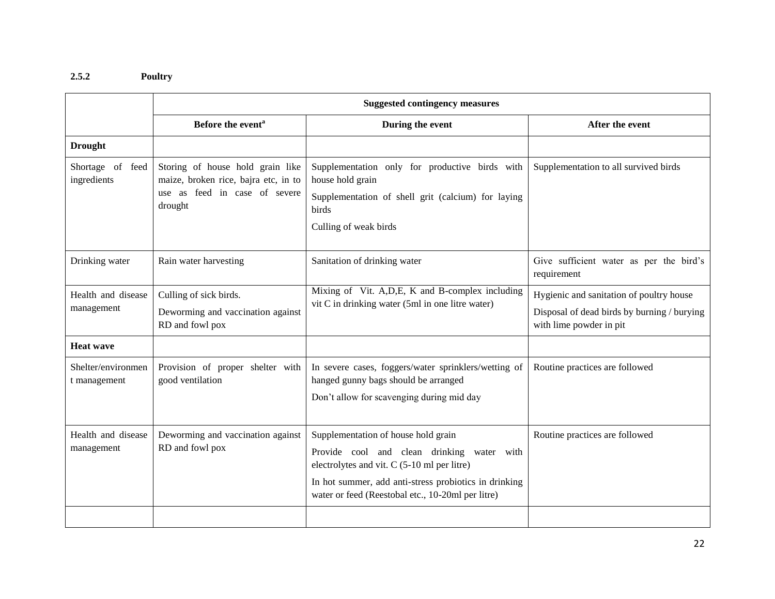### **2.5.2 Poultry**

|                                    | <b>Suggested contingency measures</b>                                                                                |                                                                                                                                                                                                                                                   |                                                                                                                    |
|------------------------------------|----------------------------------------------------------------------------------------------------------------------|---------------------------------------------------------------------------------------------------------------------------------------------------------------------------------------------------------------------------------------------------|--------------------------------------------------------------------------------------------------------------------|
|                                    | Before the event <sup>a</sup>                                                                                        | During the event                                                                                                                                                                                                                                  | After the event                                                                                                    |
| <b>Drought</b>                     |                                                                                                                      |                                                                                                                                                                                                                                                   |                                                                                                                    |
| Shortage of feed<br>ingredients    | Storing of house hold grain like<br>maize, broken rice, bajra etc, in to<br>use as feed in case of severe<br>drought | Supplementation only for productive birds with<br>house hold grain<br>Supplementation of shell grit (calcium) for laying<br>birds<br>Culling of weak birds                                                                                        | Supplementation to all survived birds                                                                              |
| Drinking water                     | Rain water harvesting                                                                                                | Sanitation of drinking water                                                                                                                                                                                                                      | Give sufficient water as per the bird's<br>requirement                                                             |
| Health and disease<br>management   | Culling of sick birds.<br>Deworming and vaccination against<br>RD and fowl pox                                       | Mixing of Vit. A, D, E, K and B-complex including<br>vit C in drinking water (5ml in one litre water)                                                                                                                                             | Hygienic and sanitation of poultry house<br>Disposal of dead birds by burning / burying<br>with lime powder in pit |
| <b>Heat wave</b>                   |                                                                                                                      |                                                                                                                                                                                                                                                   |                                                                                                                    |
| Shelter/environmen<br>t management | Provision of proper shelter with<br>good ventilation                                                                 | In severe cases, foggers/water sprinklers/wetting of<br>hanged gunny bags should be arranged<br>Don't allow for scavenging during mid day                                                                                                         | Routine practices are followed                                                                                     |
| Health and disease<br>management   | Deworming and vaccination against<br>RD and fowl pox                                                                 | Supplementation of house hold grain<br>Provide cool and clean drinking<br>water with<br>electrolytes and vit. C (5-10 ml per litre)<br>In hot summer, add anti-stress probiotics in drinking<br>water or feed (Reestobal etc., 10-20ml per litre) | Routine practices are followed                                                                                     |
|                                    |                                                                                                                      |                                                                                                                                                                                                                                                   |                                                                                                                    |